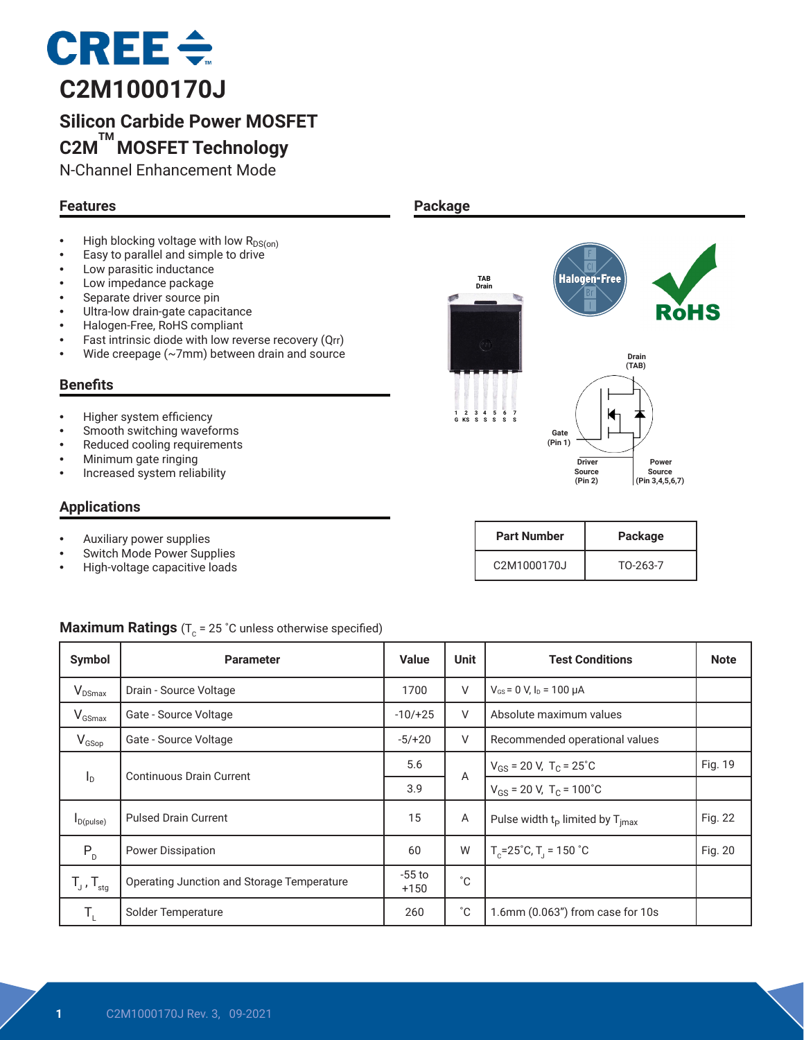

# **Silicon Carbide Power MOSFET C2M TM MOSFET Technology**

N-Channel Enhancement Mode

## **Features**

- High blocking voltage with low  $R_{DS(on)}$
- Easy to parallel and simple to drive
- Low parasitic inductance
- Low impedance package
- Separate driver source pin
- Ultra-low drain-gate capacitance
- Halogen-Free, RoHS compliant<br>• Fast intrinsic diode with low rev
- Fast intrinsic diode with low reverse recovery (Qrr)
- Wide creepage (~7mm) between drain and source

#### **Benefits**

- Higher system efficiency
- Smooth switching waveforms
- Reduced cooling requirements
- Minimum gate ringing
- Increased system reliability

#### **Applications**

- Auxiliary power supplies
- Switch Mode Power Supplies<br>• High-voltage capacitive loads
- High-voltage capacitive loads

#### **Package**



| <b>Part Number</b>                    | Package  |  |  |
|---------------------------------------|----------|--|--|
| C <sub>2</sub> M <sub>1000170</sub> J | TO-263-7 |  |  |

#### **Maximum Ratings** (T<sub>c</sub> = 25 °C unless otherwise specified)

| Symbol                     | <b>Parameter</b>                           | <b>Value</b>       | <b>Unit</b>                                           | <b>Test Conditions</b>                              | <b>Note</b> |
|----------------------------|--------------------------------------------|--------------------|-------------------------------------------------------|-----------------------------------------------------|-------------|
| <b>V</b> <sub>DSmax</sub>  | Drain - Source Voltage                     | 1700               | V                                                     | $V_{GS}$ = 0 V, $I_D$ = 100 $\mu$ A                 |             |
| $V_{GSmax}$                | Gate - Source Voltage                      | $-10/+25$          | V                                                     | Absolute maximum values                             |             |
| $V_{GSop}$                 | Gate - Source Voltage                      | $-5/+20$           | V<br>Recommended operational values                   |                                                     |             |
|                            | Continuous Drain Current                   | 5.6                | A                                                     | $V_{GS}$ = 20 V, T <sub>C</sub> = 25 <sup>°</sup> C | Fig. 19     |
| $I_{\text{D}}$             |                                            | 3.9                |                                                       | $V_{GS}$ = 20 V, T <sub>C</sub> = 100°C             |             |
| $I_{D(pulse)}$             | <b>Pulsed Drain Current</b>                | 15                 | Α<br>Pulse width $t_{p}$ limited by $T_{\text{imax}}$ |                                                     | Fig. 22     |
| $P_{D}$                    | Power Dissipation                          | 60                 | W                                                     | $T_c = 25^\circ C$ , $T_1 = 150^\circ C$            | Fig. 20     |
| $T_{J}$ , $T_{\text{stg}}$ | Operating Junction and Storage Temperature | $-55$ to<br>$+150$ | $^{\circ}$ C                                          |                                                     |             |
| T,                         | Solder Temperature                         | 260                | °С<br>$1.6$ mm (0.063") from case for 10s             |                                                     |             |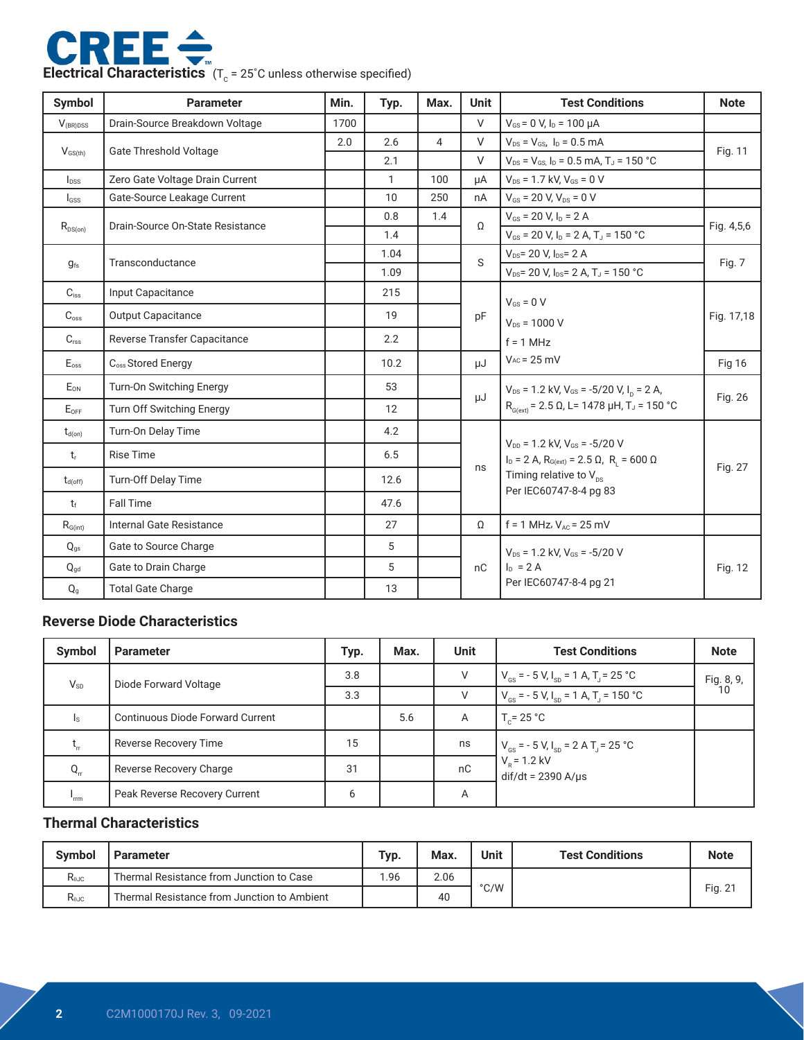

| <b>Symbol</b>        | <b>Parameter</b>                 | Min. | Typ.         | Max.           | <b>Unit</b> | <b>Test Conditions</b>                                                                                                                      | <b>Note</b>   |  |
|----------------------|----------------------------------|------|--------------|----------------|-------------|---------------------------------------------------------------------------------------------------------------------------------------------|---------------|--|
| $V_{\text{(BR)DSS}}$ | Drain-Source Breakdown Voltage   | 1700 |              |                | $\vee$      | $V_{GS}$ = 0 V, $I_D$ = 100 $\mu$ A                                                                                                         |               |  |
|                      | <b>Gate Threshold Voltage</b>    | 2.0  | 2.6          | $\overline{4}$ | V           | $V_{DS} = V_{GS}$ , $I_D = 0.5$ mA                                                                                                          | Fig. 11       |  |
| $V_{GS(th)}$         |                                  |      | 2.1          |                | $\vee$      | $V_{DS}$ = $V_{GS}$ , $I_D$ = 0.5 mA, T <sub>J</sub> = 150 °C                                                                               |               |  |
| I <sub>DSS</sub>     | Zero Gate Voltage Drain Current  |      | $\mathbf{1}$ | 100            | uA          | $V_{DS}$ = 1.7 kV, $V_{GS}$ = 0 V                                                                                                           |               |  |
| I <sub>GSS</sub>     | Gate-Source Leakage Current      |      | 10           | 250            | nA          | $V_{GS}$ = 20 V, $V_{DS}$ = 0 V                                                                                                             |               |  |
| $R_{DS(on)}$         | Drain-Source On-State Resistance |      | 0.8          | 1.4            | $\Omega$    | $V_{GS}$ = 20 V, $I_D$ = 2 A                                                                                                                | Fig. 4,5,6    |  |
|                      |                                  |      | 1.4          |                |             | $V_{GS}$ = 20 V, $I_D$ = 2 A, T <sub>J</sub> = 150 °C                                                                                       |               |  |
| $g_{fs}$             | Transconductance                 |      | 1.04         |                | S           | $V_{DS}$ = 20 V, $I_{DS}$ = 2 A                                                                                                             | Fig. 7        |  |
|                      |                                  |      | 1.09         |                |             | $V_{DS}$ = 20 V, I <sub>DS</sub> = 2 A, T <sub>J</sub> = 150 °C                                                                             |               |  |
| $C_{iss}$            | Input Capacitance                |      | 215          |                |             | $V_{GS} = 0 V$                                                                                                                              | Fig. 17,18    |  |
| $C_{\text{oss}}$     | Output Capacitance               |      | 19           |                | pF          | $V_{DS} = 1000 V$                                                                                                                           |               |  |
| C <sub>rss</sub>     | Reverse Transfer Capacitance     |      | 2.2          |                |             | $f = 1 MHz$                                                                                                                                 |               |  |
| $E_{\rm oss}$        | C <sub>oss</sub> Stored Energy   |      | 10.2         |                | μJ          | $V_{AC}$ = 25 mV                                                                                                                            | <b>Fig 16</b> |  |
| E <sub>ON</sub>      | <b>Turn-On Switching Energy</b>  |      | 53           |                | μJ          | $V_{DS}$ = 1.2 kV, $V_{GS}$ = -5/20 V, I <sub>n</sub> = 2 A,                                                                                |               |  |
| $E_{\text{OFF}}$     | Turn Off Switching Energy        |      | 12           |                |             | $R_{G(\text{ext})}$ = 2.5 Ω, L= 1478 μH, T <sub>J</sub> = 150 °C                                                                            | Fig. 26       |  |
| $t_{d(on)}$          | Turn-On Delay Time               |      | 4.2          |                |             |                                                                                                                                             | Fig. 27       |  |
| t,                   | <b>Rise Time</b>                 |      | 6.5          |                |             | $V_{DD}$ = 1.2 kV, $V_{GS}$ = -5/20 V<br>$I_D = 2 A$ , $R_{G(ext)} = 2.5 \Omega$ , $R_1 = 600 \Omega$<br>Timing relative to $V_{\text{ns}}$ |               |  |
| $t_{d(off)}$         | Turn-Off Delay Time              |      | 12.6         |                | ns          |                                                                                                                                             |               |  |
| $t_{\rm f}$          | <b>Fall Time</b>                 |      | 47.6         |                |             | Per IEC60747-8-4 pg 83                                                                                                                      |               |  |
| $R_{\text{G(int)}}$  | Internal Gate Resistance         |      | 27           |                | $\Omega$    | $f = 1$ MHz, $V_{AC} = 25$ mV                                                                                                               |               |  |
| $Q_{qs}$             | Gate to Source Charge            |      | 5            |                |             | $V_{DS}$ = 1.2 kV. $V_{GS}$ = -5/20 V                                                                                                       |               |  |
| $Q_{gd}$             | Gate to Drain Charge             |      | 5            |                | nC          | $I_{D} = 2A$                                                                                                                                | Fig. 12       |  |
| $Q_{g}$              | <b>Total Gate Charge</b>         |      | 13           |                |             | Per IEC60747-8-4 pg 21                                                                                                                      |               |  |

## **Reverse Diode Characteristics**

| Symbol   | <b>Parameter</b>                        | Typ. | Max. | <b>Unit</b> | <b>Test Conditions</b>                                                  | <b>Note</b>      |
|----------|-----------------------------------------|------|------|-------------|-------------------------------------------------------------------------|------------------|
| $V_{SD}$ | Diode Forward Voltage                   | 3.8  |      | V           | $V_{\text{gs}}$ = - 5 V, $I_{\text{sp}}$ = 1 A, T <sub>J</sub> = 25 °C  | Fig. 8, 9,<br>10 |
|          |                                         | 3.3  |      | V           | $V_{\text{es}}$ = - 5 V, I <sub>sp</sub> = 1 A, T <sub>j</sub> = 150 °C |                  |
| Is.      | <b>Continuous Diode Forward Current</b> |      | 5.6  | A           | $T_c = 25 °C$                                                           |                  |
| τ,       | Reverse Recovery Time                   | 15   |      | ns          | $V_{\text{gs}}$ = - 5 V, I <sub>sp</sub> = 2 A T <sub>J</sub> = 25 °C   |                  |
| $Q_{rr}$ | Reverse Recovery Charge                 | 31   |      | nC          | $V_p = 1.2$ kV<br>$dif/dt = 2390 A/\mu s$                               |                  |
| 'rm      | Peak Reverse Recovery Current           | 6    |      | Α           |                                                                         |                  |

#### **Thermal Characteristics**

| <b>Symbol</b> | <b>Parameter</b>                            | Typ. | Max. | Unit | <b>Test Conditions</b> | <b>Note</b> |
|---------------|---------------------------------------------|------|------|------|------------------------|-------------|
| $R_{0JC}$     | Thermal Resistance from Junction to Case    | 1.96 | 2.06 |      |                        |             |
| $R_{0JC}$     | Thermal Resistance from Junction to Ambient |      | 40   | °C/W |                        | Fig. $2^r$  |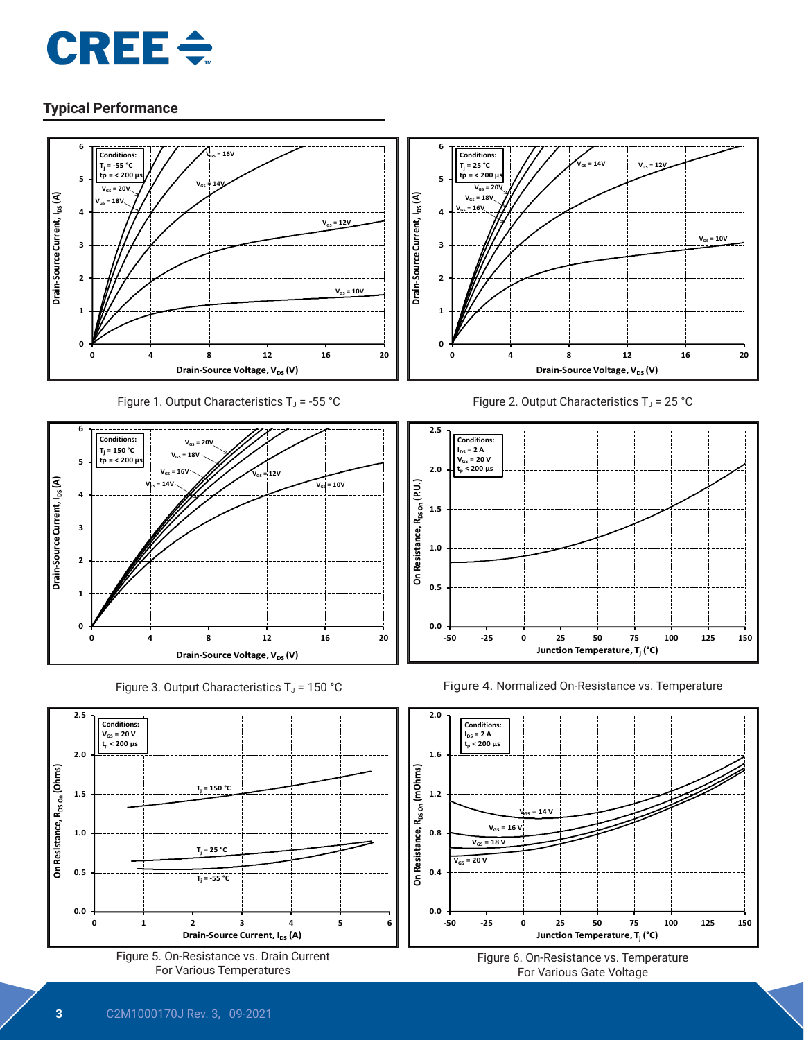



Figure 5. On-Resistance vs. Drain Current For Various Temperatures

**Drain-Source Current, I<sub>DS</sub> (A)** 



**Junction Temperature, Tj (°C)**

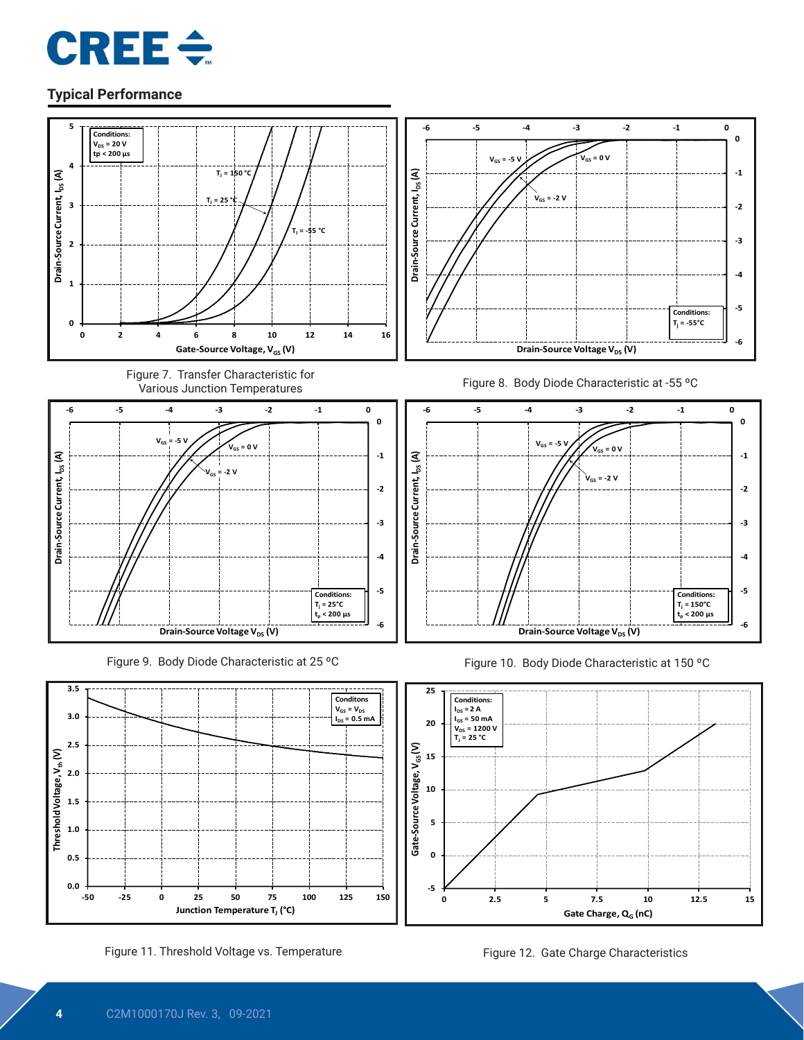



**-5**

**0**

**0.0 0.5 -50 -25 0 25 50 75 100 125 150 Junction Temperature T<sub>J</sub> (°C)** 

Figure 11. Threshold Voltage vs. Temperature Figure 12. Gate Charge Characteristics

**0 2.5 5 7.5 10 12.5 15**

Gate Charge, Q<sub>G</sub> (nC)

**1.0**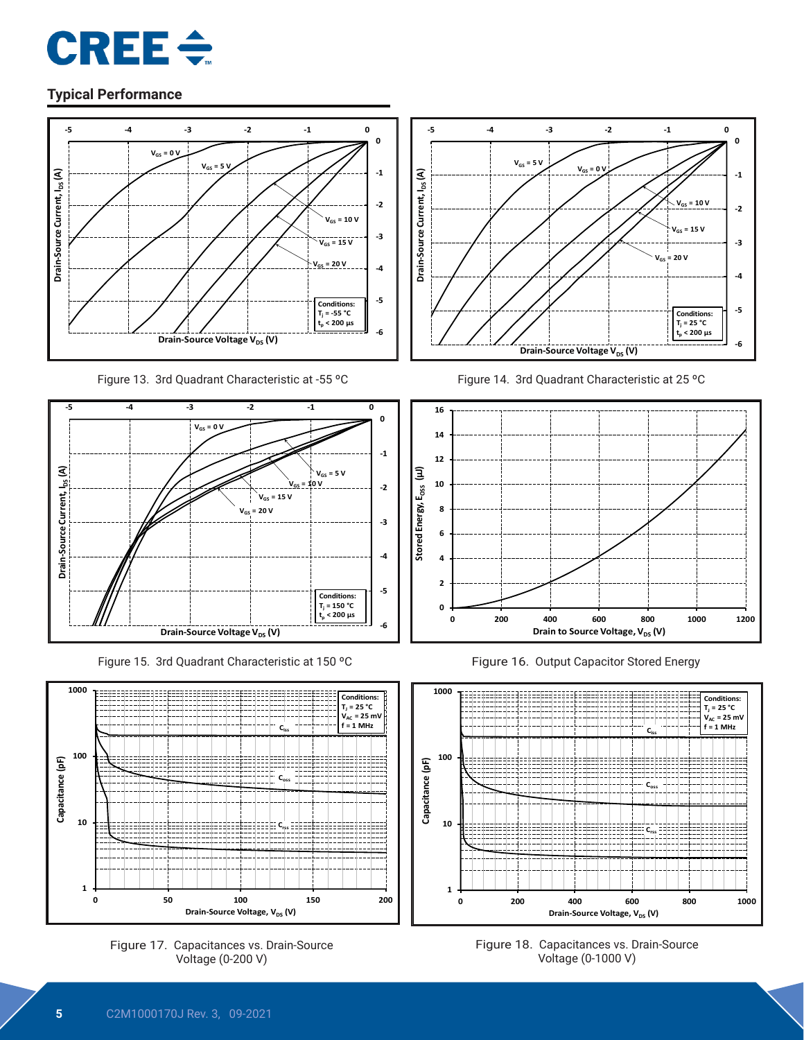



Figure 13. 3rd Quadrant Characteristic at -55 °C Figure 14. 3rd Quadrant Characteristic at 25 °C



Figure 15. 3rd Quadrant Characteristic at 150 °C Figure 16. Output Capacitor Stored Energy











Figure 18. Capacitances vs. Drain-Source Voltage (0-1000 V)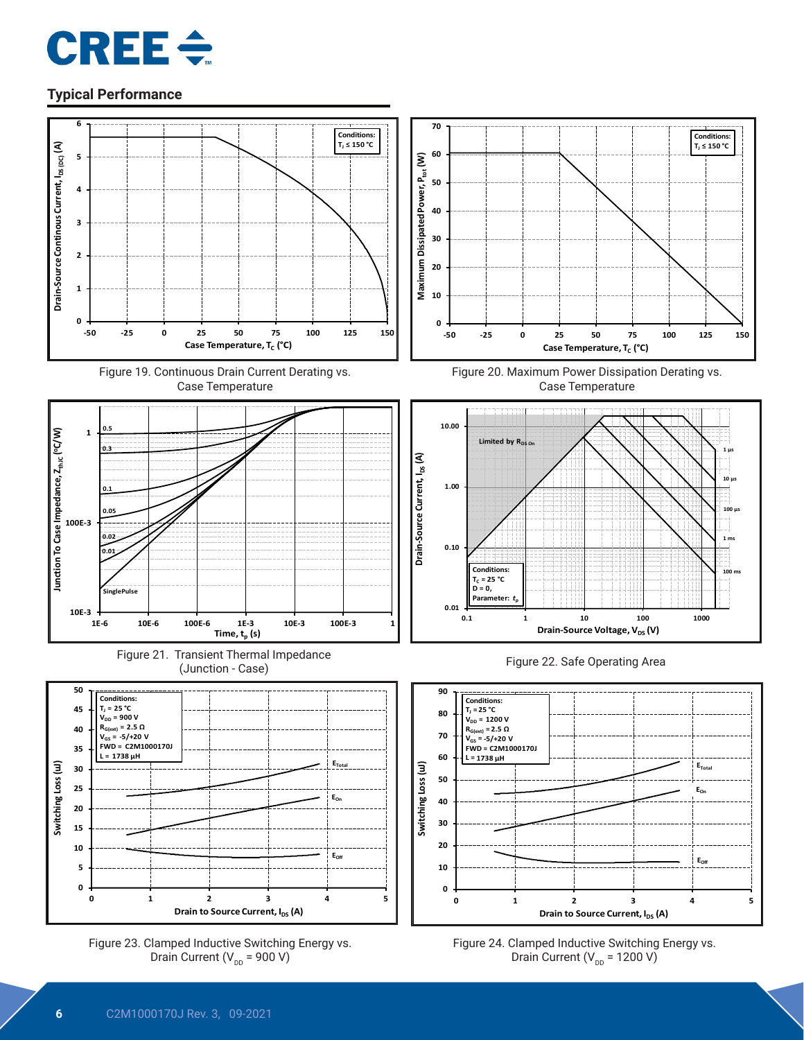





















Figure 24. Clamped Inductive Switching Energy vs. Drain Current ( $V_{DD}$  = 1200 V)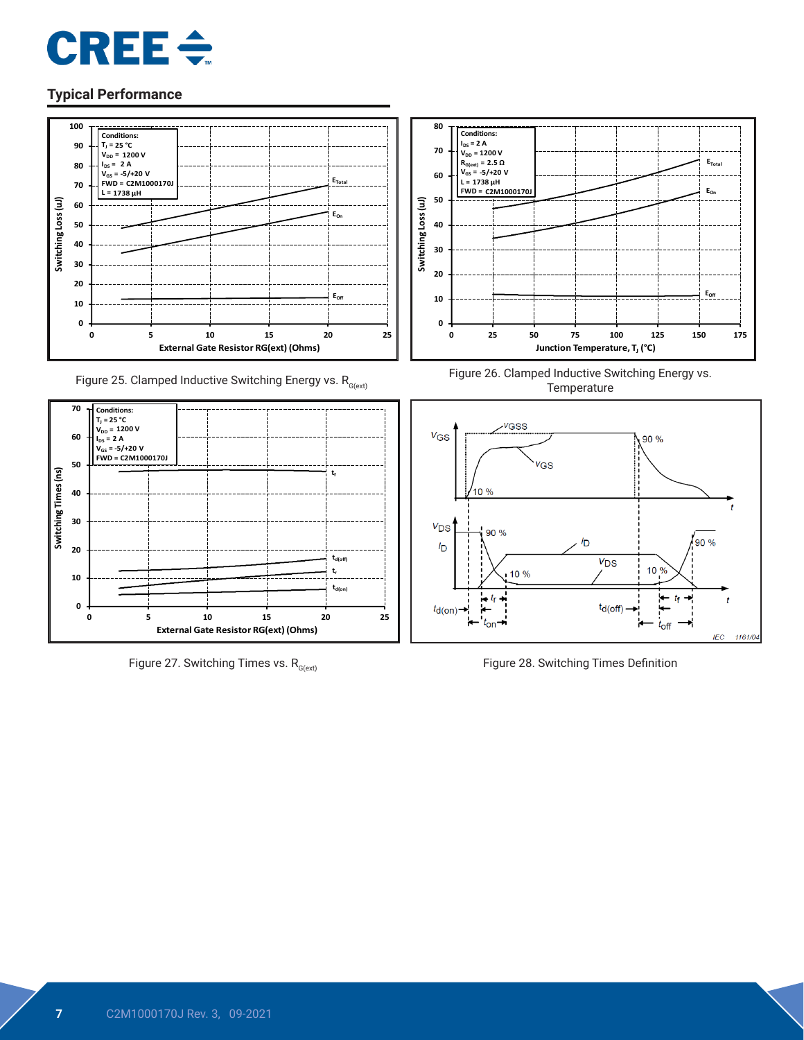



Figure 25. Clamped Inductive Switching Energy vs.  $R_{G(\text{ext})}$ 



Figure 27. Switching Times vs.  $R_{G(\text{ext})}$  Figure 28. Switching Times Definition



Figure 26. Clamped Inductive Switching Energy vs. **Temperature** 

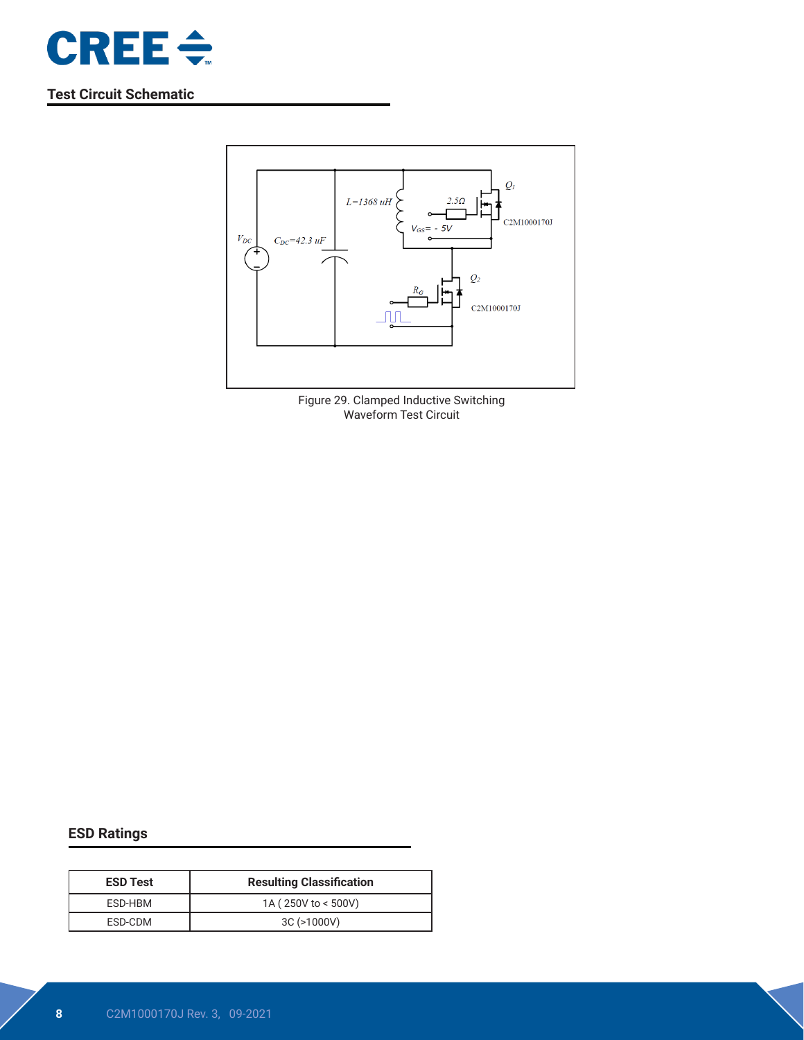

## **Test Circuit Schematic**



Figure 29. Clamped Inductive Switching Waveform Test Circuit

## **ESD Ratings**

| <b>ESD Test</b> | <b>Resulting Classification</b> |  |  |  |
|-----------------|---------------------------------|--|--|--|
| ESD-HBM         | 1A (250V to < 500V)             |  |  |  |
| ESD-CDM         | 3C (>1000V)                     |  |  |  |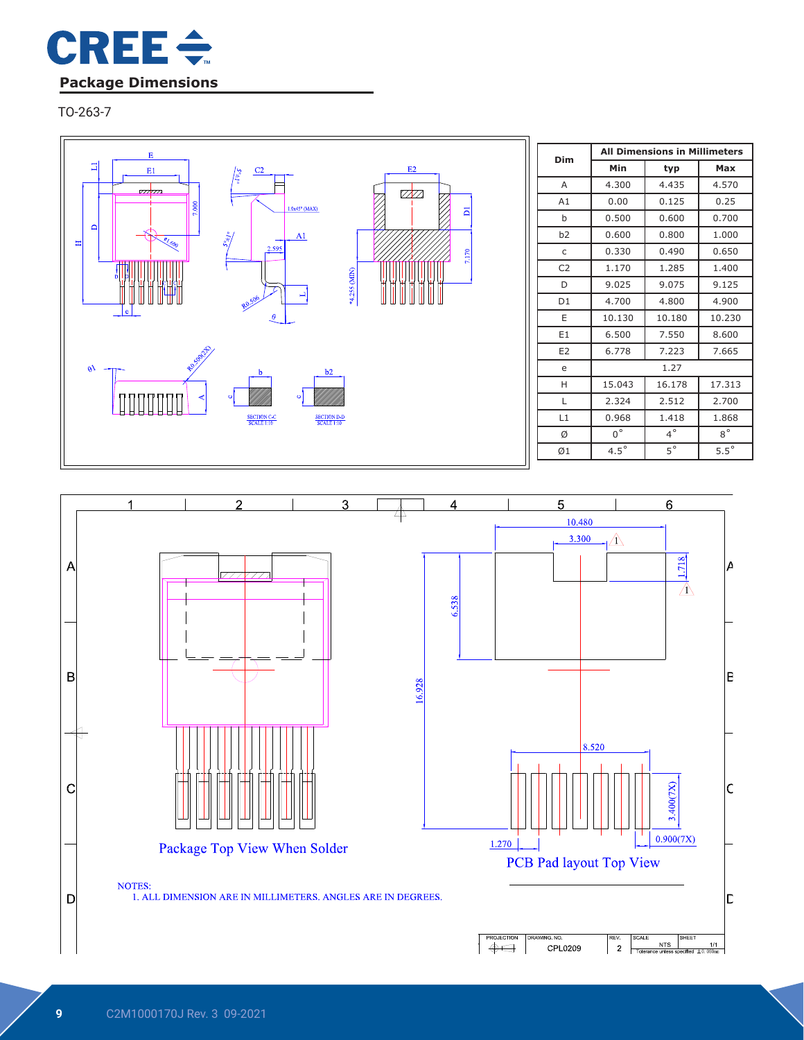

TO-263-7



| Dim            | <b>All Dimensions in Millimeters</b> |             |               |  |  |  |
|----------------|--------------------------------------|-------------|---------------|--|--|--|
|                | Min                                  | Max         |               |  |  |  |
| A              | 4.300                                | 4.435       | 4.570         |  |  |  |
| A1             | 0.00                                 | 0.125       | 0.25          |  |  |  |
| b              | 0.500                                | 0.600       | 0.700         |  |  |  |
| b2             | 0.600                                | 0.800       | 1.000         |  |  |  |
| C              | 0.330                                | 0.490       | 0.650         |  |  |  |
| C <sub>2</sub> | 1.170                                | 1.285       | 1.400         |  |  |  |
| D              | 9.025                                | 9.075       | 9.125         |  |  |  |
| D1             | 4.700                                | 4.800       | 4.900         |  |  |  |
| F              | 10.130                               | 10.180      | 10.230        |  |  |  |
| E <sub>1</sub> | 6.500                                | 7.550       | 8.600         |  |  |  |
| E <sub>2</sub> | 6.778                                | 7.223       | 7.665         |  |  |  |
| e              |                                      | 1.27        |               |  |  |  |
| н              | 15.043                               | 16.178      | 17.313        |  |  |  |
| L              | 2.324                                | 2.512       | 2.700         |  |  |  |
| L1             | 0.968                                | 1.418       | 1.868         |  |  |  |
| Ø              | $0^{\circ}$                          | $4^\circ$   | $8^{\circ}$   |  |  |  |
| Ø1             | $4.5^{\circ}$                        | $5^{\circ}$ | $5.5^{\circ}$ |  |  |  |